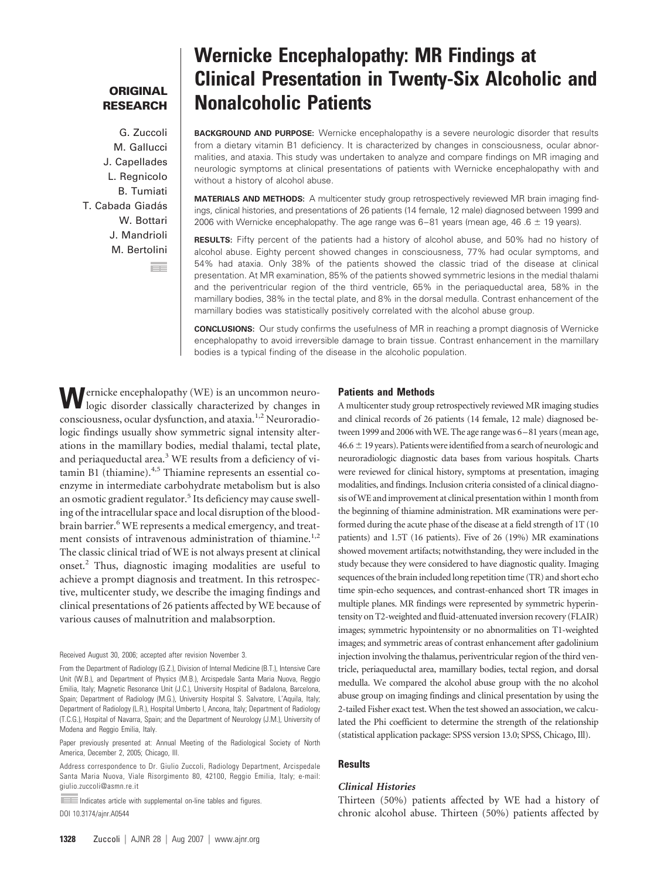# **ORIGINAL RESEARCH**

G. Zuccoli M. Gallucci J. Capellades L. Regnicolo B. Tumiati T. Cabada Giadás W. Bottari J. Mandrioli M. Bertolini

ш.

# **Wernicke Encephalopathy: MR Findings at Clinical Presentation in Twenty-Six Alcoholic and Nonalcoholic Patients**

**BACKGROUND AND PURPOSE:** Wernicke encephalopathy is a severe neurologic disorder that results from a dietary vitamin B1 deficiency. It is characterized by changes in consciousness, ocular abnormalities, and ataxia. This study was undertaken to analyze and compare findings on MR imaging and neurologic symptoms at clinical presentations of patients with Wernicke encephalopathy with and without a history of alcohol abuse.

**MATERIALS AND METHODS:** A multicenter study group retrospectively reviewed MR brain imaging findings, clinical histories, and presentations of 26 patients (14 female, 12 male) diagnosed between 1999 and 2006 with Wernicke encephalopathy. The age range was  $6-81$  years (mean age, 46 .6  $\pm$  19 years).

**RESULTS:** Fifty percent of the patients had a history of alcohol abuse, and 50% had no history of alcohol abuse. Eighty percent showed changes in consciousness, 77% had ocular symptoms, and 54% had ataxia. Only 38% of the patients showed the classic triad of the disease at clinical presentation. At MR examination, 85% of the patients showed symmetric lesions in the medial thalami and the periventricular region of the third ventricle, 65% in the periaqueductal area, 58% in the mamillary bodies, 38% in the tectal plate, and 8% in the dorsal medulla. Contrast enhancement of the mamillary bodies was statistically positively correlated with the alcohol abuse group.

**CONCLUSIONS:** Our study confirms the usefulness of MR in reaching a prompt diagnosis of Wernicke encephalopathy to avoid irreversible damage to brain tissue. Contrast enhancement in the mamillary bodies is a typical finding of the disease in the alcoholic population.

**W**ernicke encephalopathy (WE) is an uncommon neurologic disorder classically characterized by changes in consciousness, ocular dysfunction, and ataxia.<sup>1,2</sup> Neuroradiologic findings usually show symmetric signal intensity alterations in the mamillary bodies, medial thalami, tectal plate, and periaqueductal area.<sup>3</sup> WE results from a deficiency of vitamin B1 (thiamine).4,5 Thiamine represents an essential coenzyme in intermediate carbohydrate metabolism but is also an osmotic gradient regulator.<sup>5</sup> Its deficiency may cause swelling of the intracellular space and local disruption of the bloodbrain barrier.<sup>6</sup> WE represents a medical emergency, and treatment consists of intravenous administration of thiamine.<sup>1,2</sup> The classic clinical triad of WE is not always present at clinical onset.2 Thus, diagnostic imaging modalities are useful to achieve a prompt diagnosis and treatment. In this retrospective, multicenter study, we describe the imaging findings and clinical presentations of 26 patients affected by WE because of various causes of malnutrition and malabsorption.

Received August 30, 2006; accepted after revision November 3.

From the Department of Radiology (G.Z.), Division of Internal Medicine (B.T.), Intensive Care Unit (W.B.), and Department of Physics (M.B.), Arcispedale Santa Maria Nuova, Reggio Emilia, Italy; Magnetic Resonance Unit (J.C.), University Hospital of Badalona, Barcelona, Spain; Department of Radiology (M.G.), University Hospital S. Salvatore, L'Aquila, Italy; Department of Radiology (L.R.), Hospital Umberto I, Ancona, Italy; Department of Radiology (T.C.G.), Hospital of Navarra, Spain; and the Department of Neurology (J.M.), University of Modena and Reggio Emilia, Italy.

Paper previously presented at: Annual Meeting of the Radiological Society of North America, December 2, 2005; Chicago, Ill.

Address correspondence to Dr. Giulio Zuccoli, Radiology Department, Arcispedale Santa Maria Nuova, Viale Risorgimento 80, 42100, Reggio Emilia, Italy; e-mail: giulio.zuccoli@asmn.re.it

Indicates article with supplemental on-line tables and figures. DOI 10.3174/ajnr.A0544

#### **Patients and Methods**

A multicenter study group retrospectively reviewed MR imaging studies and clinical records of 26 patients (14 female, 12 male) diagnosed between 1999 and 2006 with WE. The age range was 6-81 years (mean age,  $46.6 \pm 19$  years). Patients were identified from a search of neurologic and neuroradiologic diagnostic data bases from various hospitals. Charts were reviewed for clinical history, symptoms at presentation, imaging modalities, and findings. Inclusion criteria consisted of a clinical diagnosis of WE and improvement at clinical presentation within 1 month from the beginning of thiamine administration. MR examinations were performed during the acute phase of the disease at a field strength of 1T (10 patients) and 1.5T (16 patients). Five of 26 (19%) MR examinations showed movement artifacts; notwithstanding, they were included in the study because they were considered to have diagnostic quality. Imaging sequences of the brain included long repetition time (TR) and short echo time spin-echo sequences, and contrast-enhanced short TR images in multiple planes. MR findings were represented by symmetric hyperintensity on T2-weighted and fluid-attenuated inversion recovery (FLAIR) images; symmetric hypointensity or no abnormalities on T1-weighted images; and symmetric areas of contrast enhancement after gadolinium injection involving the thalamus, periventricular region of the third ventricle, periaqueductal area, mamillary bodies, tectal region, and dorsal medulla. We compared the alcohol abuse group with the no alcohol abuse group on imaging findings and clinical presentation by using the 2-tailed Fisher exact test. When the test showed an association, we calculated the Phi coefficient to determine the strength of the relationship (statistical application package: SPSS version 13.0; SPSS, Chicago, Ill).

#### **Results**

### *Clinical Histories*

Thirteen (50%) patients affected by WE had a history of chronic alcohol abuse. Thirteen (50%) patients affected by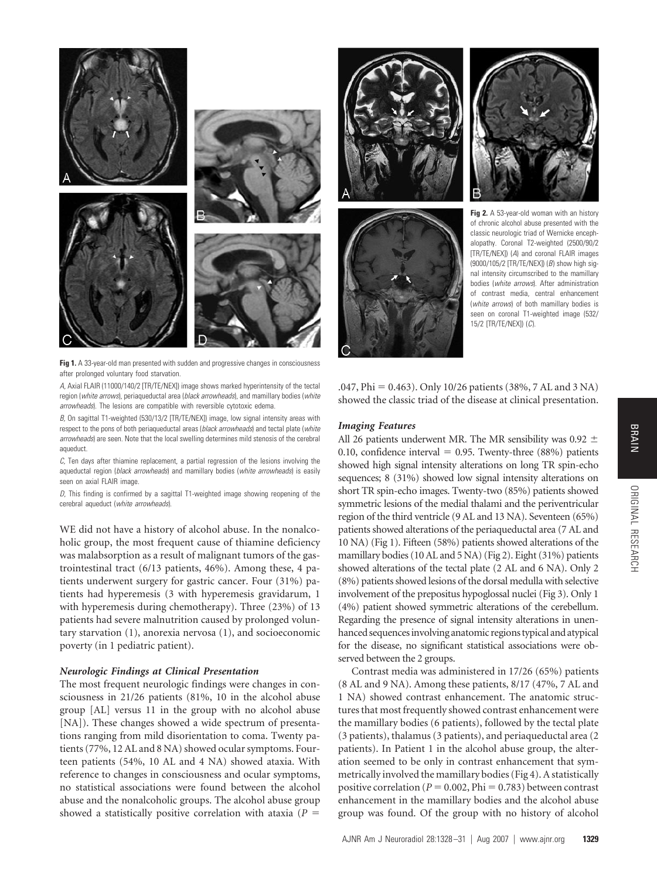

**Fig 1.** A 33-year-old man presented with sudden and progressive changes in consciousness after prolonged voluntary food starvation.

*A,* Axial FLAIR (11000/140/2 [TR/TE/NEX]) image shows marked hyperintensity of the tectal region (*white arrows*), periaqueductal area (*black arrowheads*), and mamillary bodies (*white arrowheads*). The lesions are compatible with reversible cytotoxic edema.

*B,* On sagittal T1-weighted (530/13/2 [TR/TE/NEX]) image, low signal intensity areas with respect to the pons of both periaqueductal areas (*black arrowheads*) and tectal plate (*white arrowheads*) are seen. Note that the local swelling determines mild stenosis of the cerebral aqueduct.

*C,* Ten days after thiamine replacement, a partial regression of the lesions involving the aqueductal region (*black arrowheads*) and mamillary bodies (*white arrowheads*) is easily seen on axial FLAIR image.

*D,* This finding is confirmed by a sagittal T1-weighted image showing reopening of the cerebral aqueduct (*white arrowheads*).

WE did not have a history of alcohol abuse. In the nonalcoholic group, the most frequent cause of thiamine deficiency was malabsorption as a result of malignant tumors of the gastrointestinal tract (6/13 patients, 46%). Among these, 4 patients underwent surgery for gastric cancer. Four (31%) patients had hyperemesis (3 with hyperemesis gravidarum, 1 with hyperemesis during chemotherapy). Three (23%) of 13 patients had severe malnutrition caused by prolonged voluntary starvation (1), anorexia nervosa (1), and socioeconomic poverty (in 1 pediatric patient).

# *Neurologic Findings at Clinical Presentation*

The most frequent neurologic findings were changes in consciousness in 21/26 patients (81%, 10 in the alcohol abuse group [AL] versus 11 in the group with no alcohol abuse [NA]). These changes showed a wide spectrum of presentations ranging from mild disorientation to coma. Twenty patients (77%, 12 AL and 8 NA) showed ocular symptoms. Fourteen patients (54%, 10 AL and 4 NA) showed ataxia. With reference to changes in consciousness and ocular symptoms, no statistical associations were found between the alcohol abuse and the nonalcoholic groups. The alcohol abuse group showed a statistically positive correlation with ataxia  $(P =$ 







**Fig 2.** A 53-year-old woman with an history of chronic alcohol abuse presented with the classic neurologic triad of Wernicke encephalopathy. Coronal T2-weighted (2500/90/2 [TR/TE/NEX]) (*A*) and coronal FLAIR images (9000/105/2 [TR/TE/NEX]) (*B*) show high signal intensity circumscribed to the mamillary bodies (*white arrows*). After administration of contrast media, central enhancement (*white arrows*) of both mamillary bodies is seen on coronal T1-weighted image (532/ 15/2 [TR/TE/NEX]) (*C*).

.047, Phi = 0.463). Only 10/26 patients (38%, 7 AL and 3 NA) showed the classic triad of the disease at clinical presentation.

#### *Imaging Features*

All 26 patients underwent MR. The MR sensibility was 0.92  $\pm$  $0.10$ , confidence interval = 0.95. Twenty-three (88%) patients showed high signal intensity alterations on long TR spin-echo sequences; 8 (31%) showed low signal intensity alterations on short TR spin-echo images. Twenty-two (85%) patients showed symmetric lesions of the medial thalami and the periventricular region of the third ventricle (9 AL and 13 NA). Seventeen (65%) patients showed alterations of the periaqueductal area (7 AL and 10 NA) (Fig 1). Fifteen (58%) patients showed alterations of the mamillary bodies (10 AL and 5 NA) (Fig 2). Eight (31%) patients showed alterations of the tectal plate (2 AL and 6 NA). Only 2 (8%) patients showed lesions of the dorsal medulla with selective involvement of the prepositus hypoglossal nuclei (Fig 3). Only 1 (4%) patient showed symmetric alterations of the cerebellum. Regarding the presence of signal intensity alterations in unenhanced sequencesinvolving anatomic regions typical and atypical for the disease, no significant statistical associations were observed between the 2 groups.

Contrast media was administered in 17/26 (65%) patients (8 AL and 9 NA). Among these patients, 8/17 (47%, 7 AL and 1 NA) showed contrast enhancement. The anatomic structures that most frequently showed contrast enhancement were the mamillary bodies (6 patients), followed by the tectal plate (3 patients), thalamus (3 patients), and periaqueductal area (2 patients). In Patient 1 in the alcohol abuse group, the alteration seemed to be only in contrast enhancement that symmetrically involved the mamillary bodies (Fig 4). A statistically positive correlation ( $P = 0.002$ ,  $\text{Phi} = 0.783$ ) between contrast enhancement in the mamillary bodies and the alcohol abuse group was found. Of the group with no history of alcohol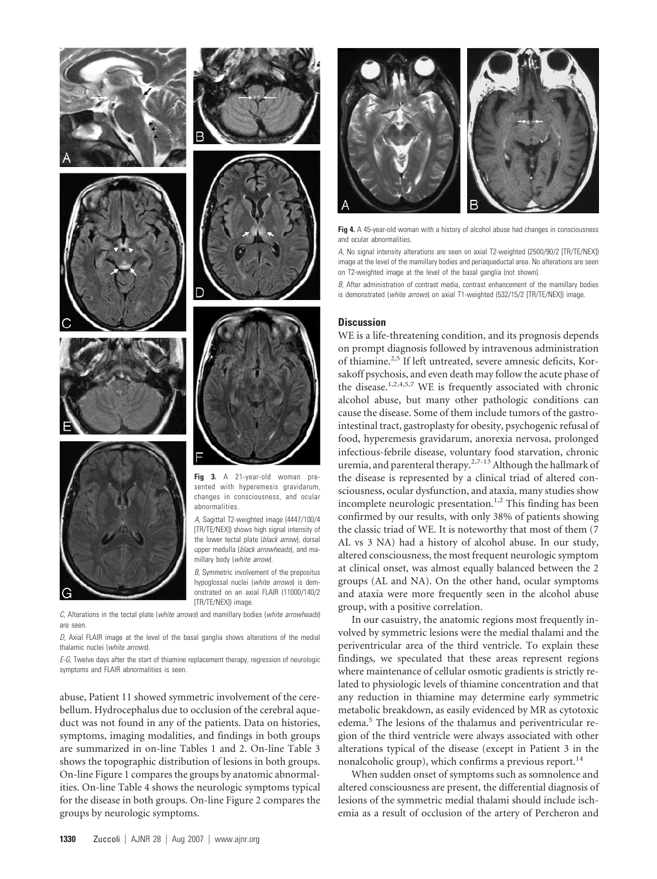



the lower tectal plate (*black arrow*), dorsal upper medulla (*black arrowheads*), and mamillary body (*white arrow*). *B,* Symmetric involvement of the prepositus

hypoglossal nuclei (*white arrows*) is demonstrated on an axial FLAIR (11000/140/2 [TR/TE/NEX]) image

*C,* Alterations in the tectal plate (*white arrows*) and mamillary bodies (*white arrowheads*) are seen.

*D,* Axial FLAIR image at the level of the basal ganglia shows alterations of the medial thalamic nuclei (*white arrows*).

*E-G,* Twelve days after the start of thiamine replacement therapy, regression of neurologic symptoms and FLAIR abnormalities is seen.

abuse, Patient 11 showed symmetric involvement of the cerebellum. Hydrocephalus due to occlusion of the cerebral aqueduct was not found in any of the patients. Data on histories, symptoms, imaging modalities, and findings in both groups are summarized in on-line Tables 1 and 2. On-line Table 3 shows the topographic distribution of lesions in both groups. On-line Figure 1 compares the groups by anatomic abnormalities. On-line Table 4 shows the neurologic symptoms typical for the disease in both groups. On-line Figure 2 compares the groups by neurologic symptoms.



**Fig 4.** A 45-year-old woman with a history of alcohol abuse had changes in consciousness and ocular abnormalities.

*A,* No signal intensity alterations are seen on axial T2-weighted (2500/90/2 [TR/TE/NEX]) image at the level of the mamillary bodies and periaqueductal area. No alterations are seen on T2-weighted image at the level of the basal ganglia (not shown).

*B,* After administration of contrast media, contrast enhancement of the mamillary bodies is demonstrated (*white arrows*) on axial T1-weighted (532/15/2 [TR/TE/NEX]) image.

# **Discussion**

WE is a life-threatening condition, and its prognosis depends on prompt diagnosis followed by intravenous administration of thiamine.<sup>2,5</sup> If left untreated, severe amnesic deficits, Korsakoff psychosis, and even death may follow the acute phase of the disease.<sup>1,2,4,5,7</sup> WE is frequently associated with chronic alcohol abuse, but many other pathologic conditions can cause the disease. Some of them include tumors of the gastrointestinal tract, gastroplasty for obesity, psychogenic refusal of food, hyperemesis gravidarum, anorexia nervosa, prolonged infectious-febrile disease, voluntary food starvation, chronic uremia, and parenteral therapy.<sup>2,7-13</sup> Although the hallmark of the disease is represented by a clinical triad of altered consciousness, ocular dysfunction, and ataxia, many studies show incomplete neurologic presentation.<sup>1,2</sup> This finding has been confirmed by our results, with only 38% of patients showing the classic triad of WE. It is noteworthy that most of them (7 AL vs 3 NA) had a history of alcohol abuse. In our study, altered consciousness, the most frequent neurologic symptom at clinical onset, was almost equally balanced between the 2 groups (AL and NA). On the other hand, ocular symptoms and ataxia were more frequently seen in the alcohol abuse group, with a positive correlation.

In our casuistry, the anatomic regions most frequently involved by symmetric lesions were the medial thalami and the periventricular area of the third ventricle. To explain these findings, we speculated that these areas represent regions where maintenance of cellular osmotic gradients is strictly related to physiologic levels of thiamine concentration and that any reduction in thiamine may determine early symmetric metabolic breakdown, as easily evidenced by MR as cytotoxic edema.<sup>5</sup> The lesions of the thalamus and periventricular region of the third ventricle were always associated with other alterations typical of the disease (except in Patient 3 in the nonalcoholic group), which confirms a previous report.<sup>14</sup>

When sudden onset of symptoms such as somnolence and altered consciousness are present, the differential diagnosis of lesions of the symmetric medial thalami should include ischemia as a result of occlusion of the artery of Percheron and